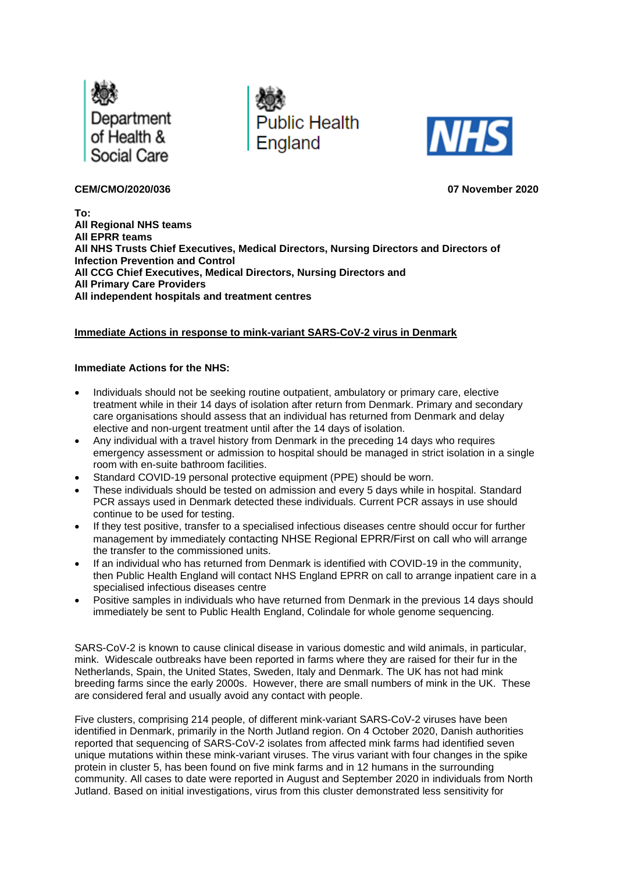





## **CEM/CMO/2020/036 07 November 2020**

**To: All Regional NHS teams All EPRR teams All NHS Trusts Chief Executives, Medical Directors, Nursing Directors and Directors of Infection Prevention and Control All CCG Chief Executives, Medical Directors, Nursing Directors and All Primary Care Providers All independent hospitals and treatment centres**

## **Immediate Actions in response to mink-variant SARS-CoV-2 virus in Denmark**

## **Immediate Actions for the NHS:**

- Individuals should not be seeking routine outpatient, ambulatory or primary care, elective treatment while in their 14 days of isolation after return from Denmark. Primary and secondary care organisations should assess that an individual has returned from Denmark and delay elective and non-urgent treatment until after the 14 days of isolation.
- Any individual with a travel history from Denmark in the preceding 14 days who requires emergency assessment or admission to hospital should be managed in strict isolation in a single room with en-suite bathroom facilities.
- Standard COVID-19 personal protective equipment (PPE) should be worn.
- These individuals should be tested on admission and every 5 days while in hospital. Standard PCR assays used in Denmark detected these individuals. Current PCR assays in use should continue to be used for testing.
- If they test positive, transfer to a specialised infectious diseases centre should occur for further management by immediately contacting NHSE Regional EPRR/First on call who will arrange the transfer to the commissioned units.
- If an individual who has returned from Denmark is identified with COVID-19 in the community, then Public Health England will contact NHS England EPRR on call to arrange inpatient care in a specialised infectious diseases centre
- Positive samples in individuals who have returned from Denmark in the previous 14 days should immediately be sent to Public Health England, Colindale for whole genome sequencing.

SARS-CoV-2 is known to cause clinical disease in various domestic and wild animals, in particular, mink. Widescale outbreaks have been reported in farms where they are raised for their fur in the Netherlands, Spain, the United States, Sweden, Italy and Denmark. The UK has not had mink breeding farms since the early 2000s. However, there are small numbers of mink in the UK. These are considered feral and usually avoid any contact with people.

Five clusters, comprising 214 people, of different mink-variant SARS-CoV-2 viruses have been identified in Denmark, primarily in the North Jutland region. On 4 October 2020, Danish authorities reported that sequencing of SARS-CoV-2 isolates from affected mink farms had identified seven unique mutations within these mink-variant viruses. The virus variant with four changes in the spike protein in cluster 5, has been found on five mink farms and in 12 humans in the surrounding community. All cases to date were reported in August and September 2020 in individuals from North Jutland. Based on initial investigations, virus from this cluster demonstrated less sensitivity for